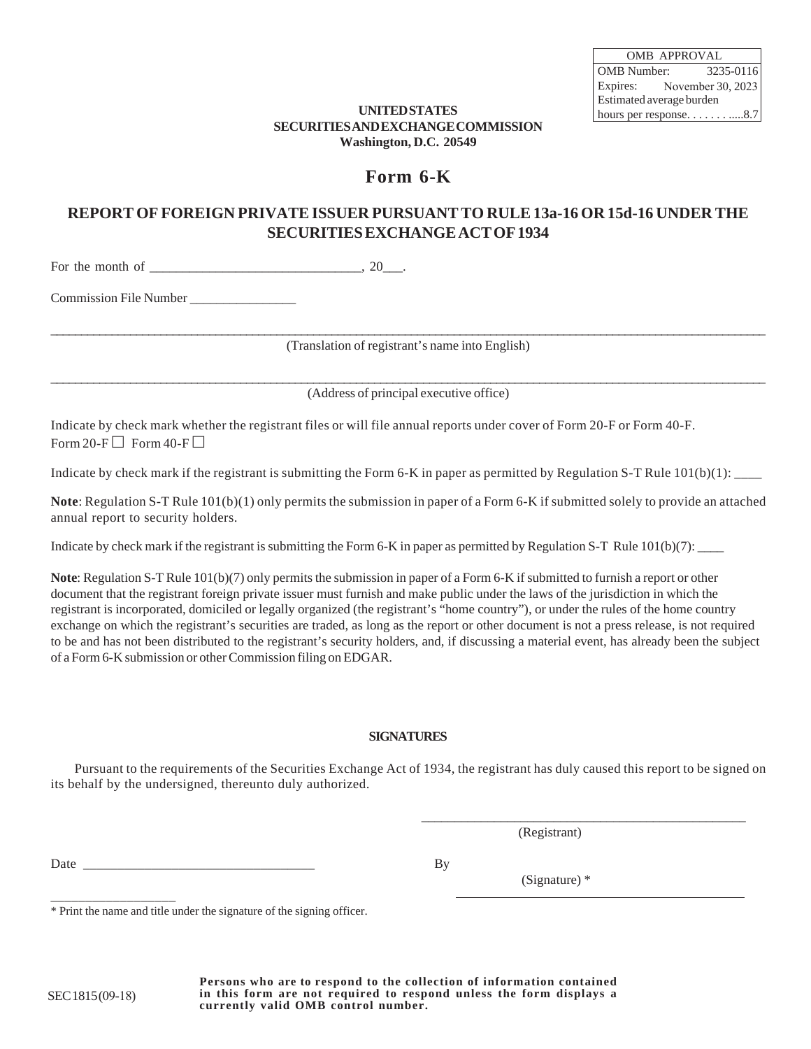\_\_\_\_\_\_\_\_\_\_\_\_\_\_\_\_\_\_

OMB APPROVAL OMB Number: 3235-0116 Expires: November 30, 2023 Estimated average burden

# **UNITED STATES** hours per response. . . . . . . .....8.7 **SECURITIES AND EXCHANGE COMMISSION Washington, D.C. 20549**

# **Form 6-K**

# **REPORT OF FOREIGN PRIVATE ISSUER PURSUANT TO RULE 13a-16 OR 15d-16 UNDER THE SECURITIES EXCHANGE ACT OF 1934**

For the month of  $\hspace{1.5cm} . \hspace{1.5cm} 20 \hspace{1.5cm} .$ 

Commission File Number \_\_\_\_\_\_\_\_\_\_\_\_\_\_\_\_

\_\_\_\_\_\_\_\_\_\_\_\_\_\_\_\_\_\_\_\_\_\_\_\_\_\_\_\_\_\_\_\_\_\_\_\_\_\_\_\_\_\_\_\_\_\_\_\_\_\_\_\_\_\_\_\_\_\_\_\_\_\_\_\_\_\_\_\_\_\_\_\_\_\_\_\_\_\_\_\_\_\_\_\_\_\_\_\_\_\_\_\_\_\_\_\_\_\_\_\_\_\_\_\_\_\_\_\_\_\_\_\_\_\_\_\_\_ (Translation of registrant's name into English)

\_\_\_\_\_\_\_\_\_\_\_\_\_\_\_\_\_\_\_\_\_\_\_\_\_\_\_\_\_\_\_\_\_\_\_\_\_\_\_\_\_\_\_\_\_\_\_\_\_\_\_\_\_\_\_\_\_\_\_\_\_\_\_\_\_\_\_\_\_\_\_\_\_\_\_\_\_\_\_\_\_\_\_\_\_\_\_\_\_\_\_\_\_\_\_\_\_\_\_\_\_\_\_\_\_\_\_\_\_\_\_\_\_\_\_\_\_ (Address of principal executive office)

Indicate by check mark whether the registrant files or will file annual reports under cover of Form 20-F or Form 40-F. Form 20-F  $\Box$  Form 40-F  $\Box$ 

Indicate by check mark if the registrant is submitting the Form 6-K in paper as permitted by Regulation S-T Rule  $101(b)(1)$ :

**Note**: Regulation S-T Rule 101(b)(1) only permits the submission in paper of a Form 6-K if submitted solely to provide an attached annual report to security holders.

Indicate by check mark if the registrant is submitting the Form 6-K in paper as permitted by Regulation S-T Rule 101(b)(7):

**Note**: Regulation S-T Rule 101(b)(7) only permits the submission in paper of a Form 6-K if submitted to furnish a report or other document that the registrant foreign private issuer must furnish and make public under the laws of the jurisdiction in which the registrant is incorporated, domiciled or legally organized (the registrant's "home country"), or under the rules of the home country exchange on which the registrant's securities are traded, as long as the report or other document is not a press release, is not required to be and has not been distributed to the registrant's security holders, and, if discussing a material event, has already been the subject of a Form 6-K submission or other Commission filing on EDGAR.

### **SIGNATURES**

Pursuant to the requirements of the Securities Exchange Act of 1934, the registrant has duly caused this report to be signed on its behalf by the undersigned, thereunto duly authorized.

(Registrant)

Date \_\_\_\_\_\_\_\_\_\_\_\_\_\_\_\_\_\_\_\_\_\_\_\_\_\_\_\_\_\_\_\_\_\_ By

(Signature) \*

\* Print the name and title under the signature of the signing officer.

\_\_\_\_\_\_\_\_\_\_\_\_\_\_\_\_\_\_\_\_\_\_\_\_\_\_\_\_\_\_\_\_\_\_\_\_\_\_\_\_\_\_\_\_\_\_\_\_\_

**Persons who are to respond to the collection of information contained** SEC 1815 (09-18) **in this form are not required to respond unless the form displays a currently valid OMB control number.**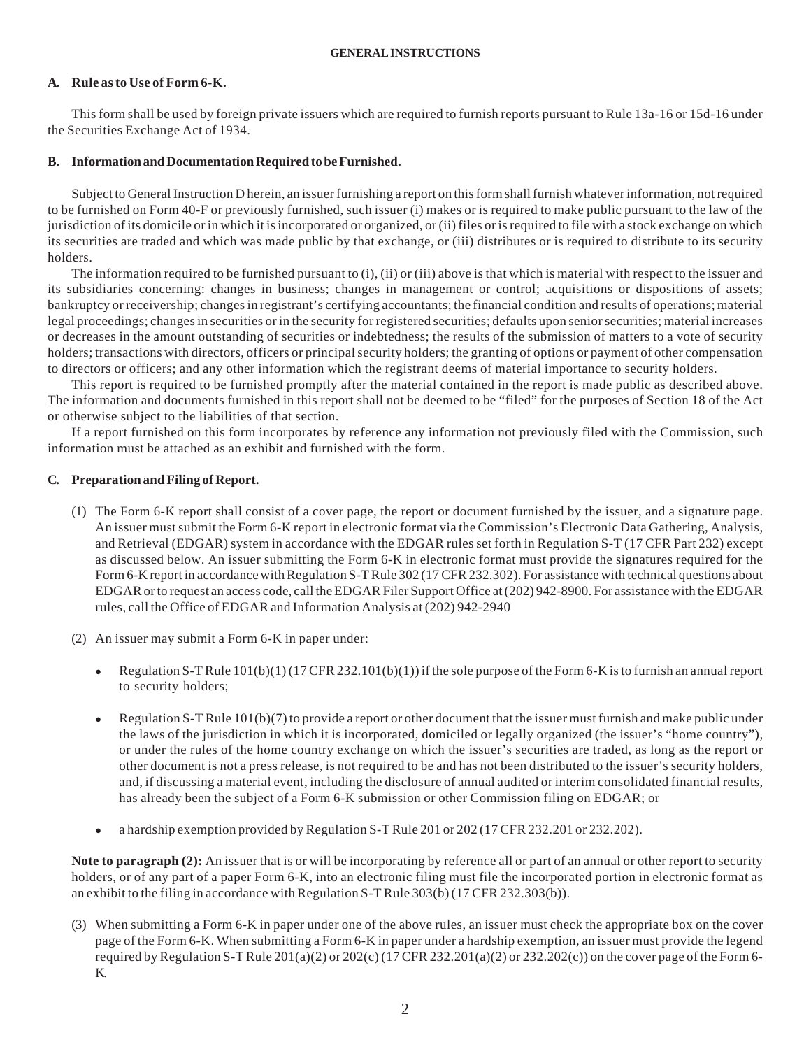#### **GENERAL INSTRUCTIONS**

#### **A. Rule as to Use of Form 6-K.**

This form shall be used by foreign private issuers which are required to furnish reports pursuant to Rule 13a-16 or 15d-16 under the Securities Exchange Act of 1934.

#### **B. Information and Documentation Required to be Furnished.**

Subject to General Instruction D herein, an issuer furnishing a report on this form shall furnish whatever information, not required to be furnished on Form 40-F or previously furnished, such issuer (i) makes or is required to make public pursuant to the law of the jurisdiction of its domicile or in which it is incorporated or organized, or (ii) files or is required to file with a stock exchange on which its securities are traded and which was made public by that exchange, or (iii) distributes or is required to distribute to its security holders.

The information required to be furnished pursuant to (i), (ii) or (iii) above is that which is material with respect to the issuer and its subsidiaries concerning: changes in business; changes in management or control; acquisitions or dispositions of assets; bankruptcy or receivership; changes in registrant's certifying accountants; the financial condition and results of operations; material legal proceedings; changes in securities or in the security for registered securities; defaults upon senior securities; material increases or decreases in the amount outstanding of securities or indebtedness; the results of the submission of matters to a vote of security holders; transactions with directors, officers or principal security holders; the granting of options or payment of other compensation to directors or officers; and any other information which the registrant deems of material importance to security holders.

This report is required to be furnished promptly after the material contained in the report is made public as described above. The information and documents furnished in this report shall not be deemed to be "filed" for the purposes of Section 18 of the Act or otherwise subject to the liabilities of that section.

If a report furnished on this form incorporates by reference any information not previously filed with the Commission, such information must be attached as an exhibit and furnished with the form.

#### **C. Preparation and Filing of Report.**

(1) The Form 6-K report shall consist of a cover page, the report or document furnished by the issuer, and a signature page. An issuer must submit the Form 6-K report in electronic format via the Commission's Electronic Data Gathering, Analysis, and Retrieval (EDGAR) system in accordance with the EDGAR rules set forth in Regulation S-T (17 CFR Part 232) except as discussed below. An issuer submitting the Form 6-K in electronic format must provide the signatures required for the Form 6-K report in accordance with Regulation S-T Rule 302 (17 CFR 232.302). For assistance with technical questions about EDGAR or to request an access code, call the EDGAR Filer Support Office at (202) 942-8900. For assistance with the EDGAR rules, call the Office of EDGAR and Information Analysis at (202) 942-2940

(2) An issuer may submit a Form 6-K in paper under:

- Regulation S-T Rule  $101(b)(1)(17$  CFR 232.101(b)(1)) if the sole purpose of the Form 6-K is to furnish an annual report to security holders;
- Regulation S-T Rule  $101(b)(7)$  to provide a report or other document that the issuer must furnish and make public under the laws of the jurisdiction in which it is incorporated, domiciled or legally organized (the issuer's "home country"), or under the rules of the home country exchange on which the issuer's securities are traded, as long as the report or other document is not a press release, is not required to be and has not been distributed to the issuer's security holders, and, if discussing a material event, including the disclosure of annual audited or interim consolidated financial results, has already been the subject of a Form 6-K submission or other Commission filing on EDGAR; or
- a hardship exemption provided by Regulation S-T Rule 201 or 202 (17 CFR 232.201 or 232.202).

**Note to paragraph (2):** An issuer that is or will be incorporating by reference all or part of an annual or other report to security holders, or of any part of a paper Form 6-K, into an electronic filing must file the incorporated portion in electronic format as an exhibit to the filing in accordance with Regulation S-T Rule 303(b) (17 CFR 232.303(b)).

(3) When submitting a Form 6-K in paper under one of the above rules, an issuer must check the appropriate box on the cover page of the Form 6-K. When submitting a Form 6-K in paper under a hardship exemption, an issuer must provide the legend required by Regulation S-T Rule  $201(a)(2)$  or  $202(c)(17$  CFR  $232.201(a)(2)$  or  $232.202(c)$ ) on the cover page of the Form 6-K.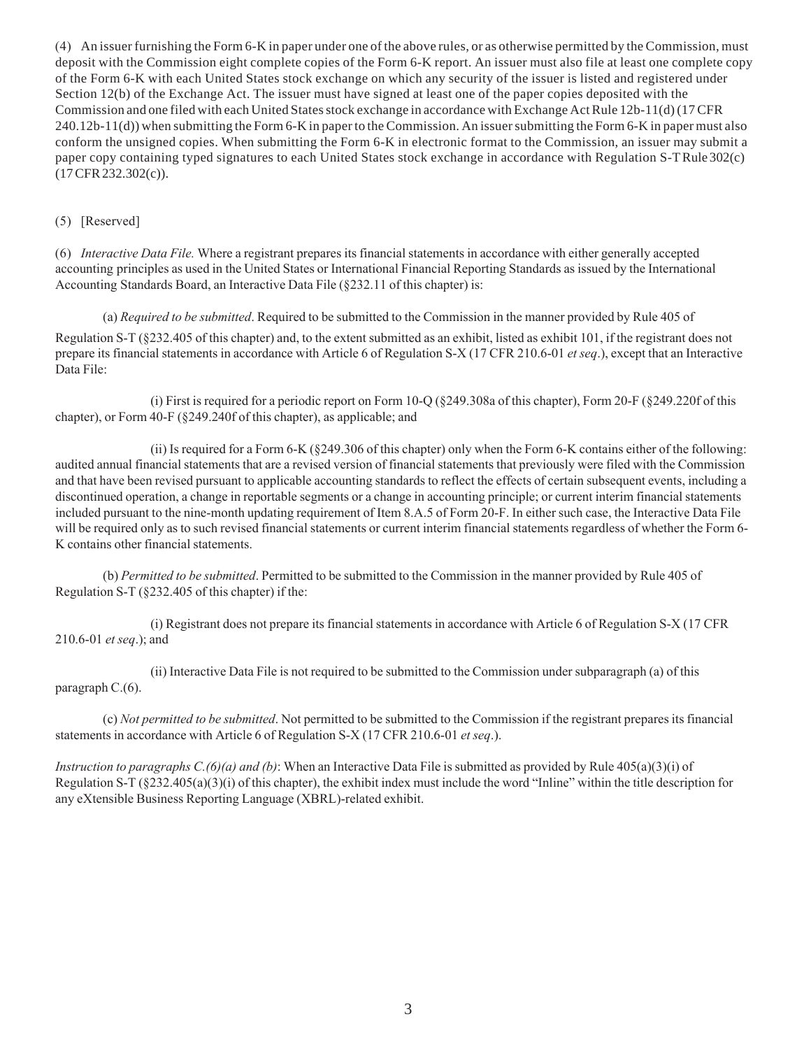(4) An issuer furnishing the Form 6-K in paper under one of the above rules, or as otherwise permitted by the Commission, must deposit with the Commission eight complete copies of the Form 6-K report. An issuer must also file at least one complete copy of the Form 6-K with each United States stock exchange on which any security of the issuer is listed and registered under Section 12(b) of the Exchange Act. The issuer must have signed at least one of the paper copies deposited with the Commission and one filed with each United States stock exchange in accordance with Exchange Act Rule 12b-11(d) (17 CFR 240.12b-11(d)) when submitting the Form 6-K in paper to the Commission. An issuer submitting the Form 6-K in paper must also conform the unsigned copies. When submitting the Form 6-K in electronic format to the Commission, an issuer may submit a paper copy containing typed signatures to each United States stock exchange in accordance with Regulation S-T Rule 302(c) (17CFR 232.302(c)).

# (5) [Reserved]

(6) *Interactive Data File.* Where a registrant prepares its financial statements in accordance with either generally accepted accounting principles as used in the United States or International Financial Reporting Standards as issued by the International Accounting Standards Board, an Interactive Data File (§232.11 of this chapter) is:

(a) *Required to be submitted*. Required to be submitted to the Commission in the manner provided by Rule 405 of

Regulation S-T ( $\S 232.405$  of this chapter) and, to the extent submitted as an exhibit, listed as exhibit 101, if the registrant does not prepare its financial statements in accordance with Article 6 of Regulation S-X (17 CFR 210.6-01 *et seq*.), except that an Interactive Data File:

(i) First is required for a periodic report on Form 10-Q ( $\S$ 249.308a of this chapter), Form 20-F ( $\S$ 249.220f of this chapter), or Form 40-F (§249.240f of this chapter), as applicable; and

(ii) Is required for a Form 6-K (§249.306 of this chapter) only when the Form 6-K contains either of the following: audited annual financial statements that are a revised version of financial statements that previously were filed with the Commission and that have been revised pursuant to applicable accounting standards to reflect the effects of certain subsequent events, including a discontinued operation, a change in reportable segments or a change in accounting principle; or current interim financial statements included pursuant to the nine-month updating requirement of Item 8.A.5 of Form 20-F. In either such case, the Interactive Data File will be required only as to such revised financial statements or current interim financial statements regardless of whether the Form 6- K contains other financial statements.

(b) *Permitted to be submitted*. Permitted to be submitted to the Commission in the manner provided by Rule 405 of Regulation S-T (§232.405 of this chapter) if the:

(i) Registrant does not prepare its financial statements in accordance with Article 6 of Regulation S-X (17 CFR 210.6-01 *et seq*.); and

(ii) Interactive Data File is not required to be submitted to the Commission under subparagraph (a) of this paragraph C.(6).

(c) *Not permitted to be submitted*. Not permitted to be submitted to the Commission if the registrant prepares its financial statements in accordance with Article 6 of Regulation S-X (17 CFR 210.6-01 *et seq*.).

*Instruction to paragraphs C.(6)(a) and (b)*: When an Interactive Data File is submitted as provided by Rule 405(a)(3)(i) of Regulation S-T  $(\frac{232.405(a)}{3})$  (i) of this chapter), the exhibit index must include the word "Inline" within the title description for any eXtensible Business Reporting Language (XBRL)-related exhibit.